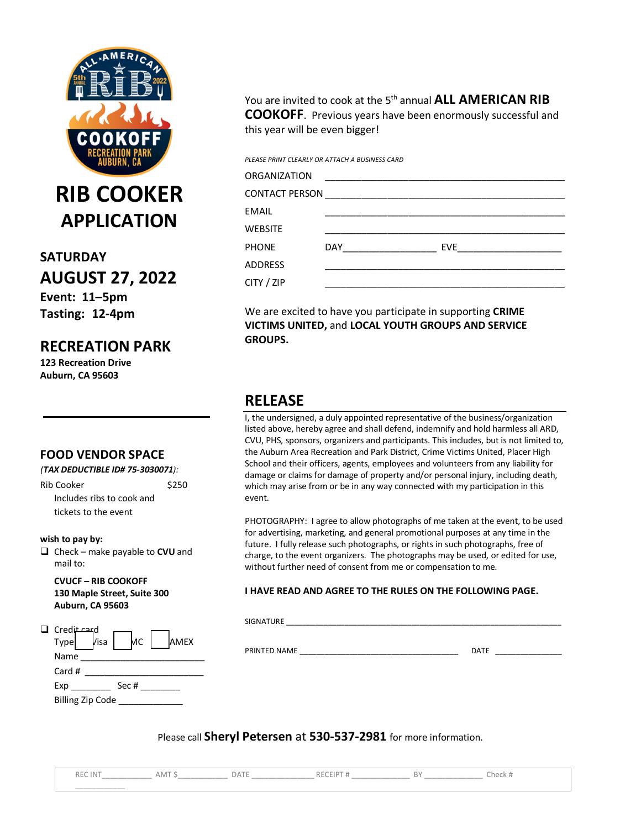

**RIB COOKER APPLICATION**

**SATURDAY AUGUST 27, 2022 Event: 11–5pm Tasting: 12-4pm**

## **RECREATION PARK**

**123 Recreation Drive Auburn, CA 95603**

### **FOOD VENDOR SPACE**

*(TAX DEDUCTIBLE ID# 75-3030071):*

Rib Cooker \$250 Includes ribs to cook and tickets to the event

#### **wish to pay by:**

 Check – make payable to **CVU** and mail to:

**CVUCF – RIB COOKOFF 130 Maple Street, Suite 300 Auburn, CA 95603**

| Credit card             |      |       |  |             |
|-------------------------|------|-------|--|-------------|
| Type                    | /isa | MС    |  | <b>AMEX</b> |
| Name                    |      |       |  |             |
| Card #                  |      |       |  |             |
| Exp                     |      | Sec # |  |             |
| <b>Billing Zip Code</b> |      |       |  |             |

You are invited to cook at the 5<sup>th</sup> annual **ALL AMERICAN RIB COOKOFF**. Previous years have been enormously successful and this year will be even bigger!

*PLEASE PRINT CLEARLY OR ATTACH A BUSINESS CARD*

| ORGANIZATION |                |     |  |  |  |  |
|--------------|----------------|-----|--|--|--|--|
|              |                |     |  |  |  |  |
| EMAIL        |                |     |  |  |  |  |
| WEBSITE      |                |     |  |  |  |  |
| <b>PHONE</b> | DAY <b>DAY</b> | EVE |  |  |  |  |
| ADDRESS      |                |     |  |  |  |  |
| CITY / ZIP   |                |     |  |  |  |  |

We are excited to have you participate in supporting **CRIME VICTIMS UNITED,** and **LOCAL YOUTH GROUPS AND SERVICE GROUPS.**

# **RELEASE**

I, the undersigned, a duly appointed representative of the business/organization listed above, hereby agree and shall defend, indemnify and hold harmless all ARD, CVU, PHS, sponsors, organizers and participants. This includes, but is not limited to, the Auburn Area Recreation and Park District, Crime Victims United, Placer High School and their officers, agents, employees and volunteers from any liability for damage or claims for damage of property and/or personal injury, including death, which may arise from or be in any way connected with my participation in this event.

PHOTOGRAPHY: I agree to allow photographs of me taken at the event, to be used for advertising, marketing, and general promotional purposes at any time in the future. I fully release such photographs, or rights in such photographs, free of charge, to the event organizers. The photographs may be used, or edited for use, without further need of consent from me or compensation to me.

### **I HAVE READ AND AGREE TO THE RULES ON THE FOLLOWING PAGE.**

SIGNATURE \_\_\_\_\_\_\_\_\_\_\_\_\_\_\_\_\_\_\_\_\_\_\_\_\_\_\_\_\_\_\_\_\_\_\_\_\_\_\_\_\_\_\_\_\_\_\_\_\_\_\_\_\_\_\_\_\_\_\_\_\_\_\_\_\_\_

PRINTED NAME \_\_\_\_\_\_\_\_\_\_\_\_\_\_\_\_\_\_\_\_\_\_\_\_\_\_\_\_\_\_\_\_\_\_\_\_\_\_ DATE \_\_\_\_\_\_\_\_\_\_\_\_\_\_\_\_

Please call **Sheryl Petersen** at **530-537-2981** for more information.

REC INT\_\_\_\_\_\_\_\_\_\_\_\_ AMT \$\_\_\_\_\_\_\_\_\_\_\_\_ DATE \_\_\_\_\_\_\_\_\_\_\_\_\_\_\_ RECEIPT # \_\_\_\_\_\_\_\_\_\_\_\_\_\_ BY \_\_\_\_\_\_\_\_\_\_\_\_\_\_ Check # \_\_\_\_\_\_\_\_\_\_\_\_